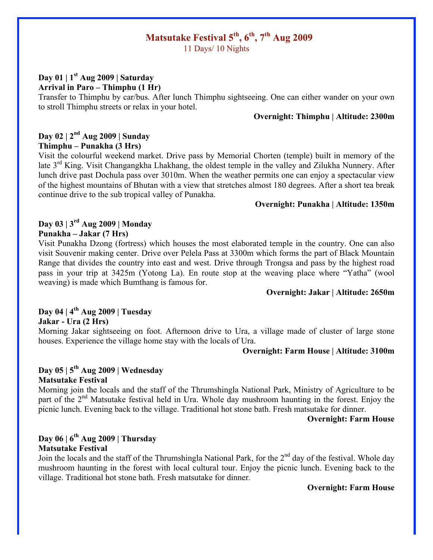# **Matsutake Festival 5th, 6th, 7th Aug 2009**

11 Days/ 10 Nights

## **Day 01 | 1st Aug 2009 | Saturday Arrival in Paro – Thimphu (1 Hr)**

Transfer to Thimphu by car/bus. After lunch Thimphu sightseeing. One can either wander on your own to stroll Thimphu streets or relax in your hotel.

## **Overnight: Thimphu | Altitude: 2300m**

## **Day 02 | 2nd Aug 2009 | Sunday Thimphu – Punakha (3 Hrs)**

Visit the colourful weekend market. Drive pass by Memorial Chorten (temple) built in memory of the late  $3<sup>rd</sup>$  King. Visit Changangkha Lhakhang, the oldest temple in the valley and Zilukha Nunnery. After lunch drive past Dochula pass over 3010m. When the weather permits one can enjoy a spectacular view of the highest mountains of Bhutan with a view that stretches almost 180 degrees. After a short tea break continue drive to the sub tropical valley of Punakha.

### **Overnight: Punakha | Altitude: 1350m**

## **Day 03 | 3rd Aug 2009 | Monday Punakha – Jakar (7 Hrs)**

Visit Punakha Dzong (fortress) which houses the most elaborated temple in the country. One can also visit Souvenir making center. Drive over Pelela Pass at 3300m which forms the part of Black Mountain Range that divides the country into east and west. Drive through Trongsa and pass by the highest road pass in your trip at 3425m (Yotong La). En route stop at the weaving place where "Yatha" (wool weaving) is made which Bumthang is famous for.

### **Overnight: Jakar | Altitude: 2650m**

## **Day 04 | 4th Aug 2009 | Tuesday**

**Jakar - Ura (2 Hrs)**

Morning Jakar sightseeing on foot. Afternoon drive to Ura, a village made of cluster of large stone houses. Experience the village home stay with the locals of Ura.

### **Overnight: Farm House | Altitude: 3100m**

### **Day 05 | 5th Aug 2009 | Wednesday Matsutake Festival**

Morning join the locals and the staff of the Thrumshingla National Park, Ministry of Agriculture to be part of the 2<sup>nd</sup> Matsutake festival held in Ura. Whole day mushroom haunting in the forest. Enjoy the picnic lunch. Evening back to the village. Traditional hot stone bath. Fresh matsutake for dinner.

### **Overnight: Farm House**

## **Day 06 | 6th Aug 2009 | Thursday Matsutake Festival**

Join the locals and the staff of the Thrumshingla National Park, for the  $2<sup>nd</sup>$  day of the festival. Whole day mushroom haunting in the forest with local cultural tour. Enjoy the picnic lunch. Evening back to the village. Traditional hot stone bath. Fresh matsutake for dinner.

### **Overnight: Farm House**